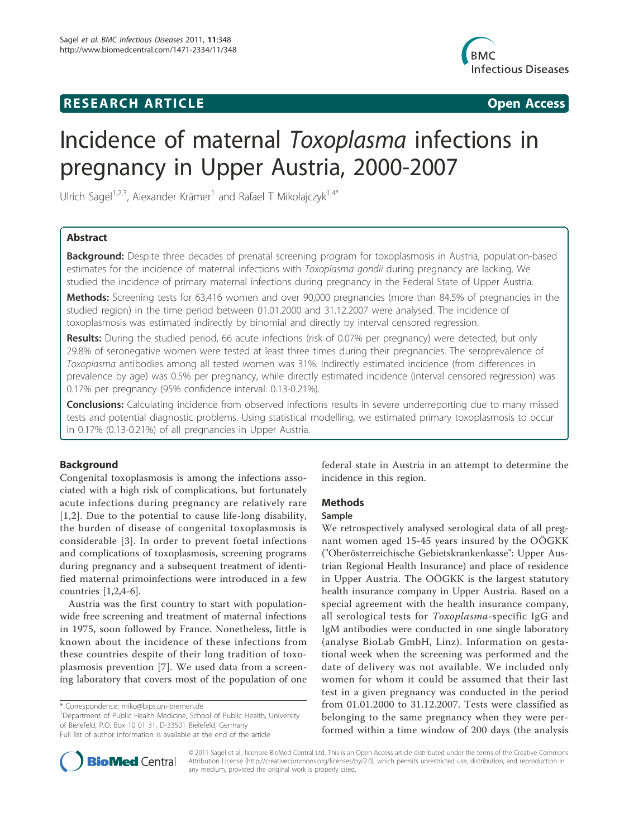## **RESEARCH ARTICLE Example 2018 CONSIDERING ACCESS**



# Incidence of maternal Toxoplasma infections in pregnancy in Upper Austria, 2000-2007

Ulrich Sagel<sup>1,2,3</sup>, Alexander Krämer<sup>1</sup> and Rafael T Mikolajczyk<sup>1,4\*</sup>

## Abstract

Background: Despite three decades of prenatal screening program for toxoplasmosis in Austria, population-based estimates for the incidence of maternal infections with Toxoplasma gondii during pregnancy are lacking. We studied the incidence of primary maternal infections during pregnancy in the Federal State of Upper Austria.

Methods: Screening tests for 63,416 women and over 90,000 pregnancies (more than 84.5% of pregnancies in the studied region) in the time period between 01.01.2000 and 31.12.2007 were analysed. The incidence of toxoplasmosis was estimated indirectly by binomial and directly by interval censored regression.

Results: During the studied period, 66 acute infections (risk of 0.07% per pregnancy) were detected, but only 29.8% of seronegative women were tested at least three times during their pregnancies. The seroprevalence of Toxoplasma antibodies among all tested women was 31%. Indirectly estimated incidence (from differences in prevalence by age) was 0.5% per pregnancy, while directly estimated incidence (interval censored regression) was 0.17% per pregnancy (95% confidence interval: 0.13-0.21%).

**Conclusions:** Calculating incidence from observed infections results in severe underreporting due to many missed tests and potential diagnostic problems. Using statistical modelling, we estimated primary toxoplasmosis to occur in 0.17% (0.13-0.21%) of all pregnancies in Upper Austria.

## Background

Congenital toxoplasmosis is among the infections associated with a high risk of complications, but fortunately acute infections during pregnancy are relatively rare [1,2]. Due to the potential to cause life-long disability, the burden of disease of congenital toxoplasmosis is considerable [3]. In order to prevent foetal infections and complications of toxoplasmosis, screening programs during pregnancy and a subsequent treatment of identified maternal primoinfections were introduced in a few countries [1,2,4-6].

Austria was the first country to start with populationwide free screening and treatment of maternal infections in 1975, soon followed by France. Nonetheless, little is known about the incidence of these infections from these countries despite of their long tradition of toxoplasmosis prevention [7]. We used data from a screening laboratory that covers most of the population of one

<sup>1</sup>Department of Public Health Medicine, School of Public Health, University of Bielefeld, P.O. Box 10 01 31, D-33501 Bielefeld, Germany Full list of author information is available at the end of the article

federal state in Austria in an attempt to determine the incidence in this region.

# **Methods**

## Sample

We retrospectively analysed serological data of all pregnant women aged 15-45 years insured by the OÖGKK ("Oberösterreichische Gebietskrankenkasse": Upper Austrian Regional Health Insurance) and place of residence in Upper Austria. The OÖGKK is the largest statutory health insurance company in Upper Austria. Based on a special agreement with the health insurance company, all serological tests for Toxoplasma-specific IgG and IgM antibodies were conducted in one single laboratory (analyse BioLab GmbH, Linz). Information on gestational week when the screening was performed and the date of delivery was not available. We included only women for whom it could be assumed that their last test in a given pregnancy was conducted in the period from 01.01.2000 to 31.12.2007. Tests were classified as belonging to the same pregnancy when they were performed within a time window of 200 days (the analysis



© 2011 Sagel et al.; licensee BioMed Central Ltd. This is an Open Access article distributed under the terms of the Creative Commons Attribution License (http://creativecommons.org/licenses/by/2.0), which permits unrestricted use, distribution, and reproduction in any medium, provided the original work is properly cited.

<sup>\*</sup> Correspondence: miko@bips.uni-bremen.de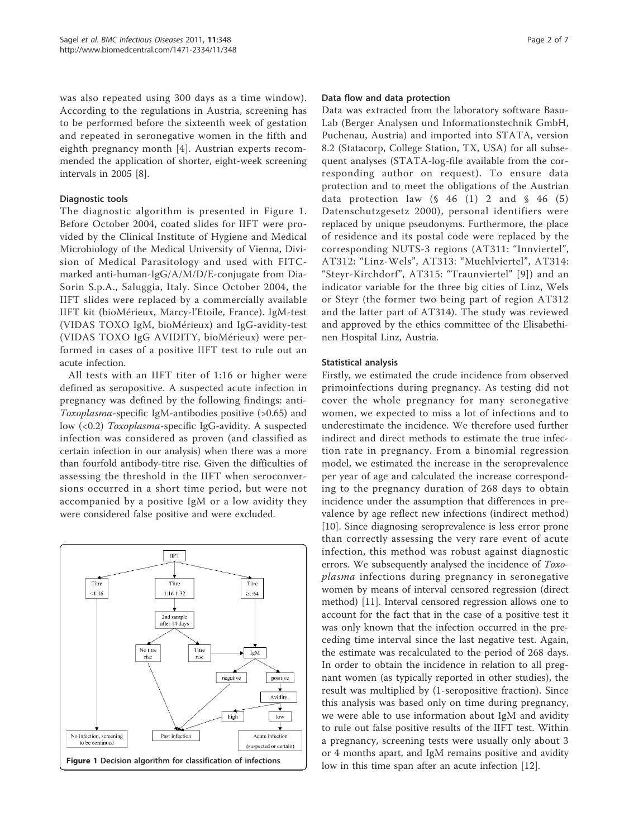was also repeated using 300 days as a time window). According to the regulations in Austria, screening has to be performed before the sixteenth week of gestation and repeated in seronegative women in the fifth and eighth pregnancy month [4]. Austrian experts recommended the application of shorter, eight-week screening intervals in 2005 [8].

## Diagnostic tools

The diagnostic algorithm is presented in Figure 1. Before October 2004, coated slides for IIFT were provided by the Clinical Institute of Hygiene and Medical Microbiology of the Medical University of Vienna, Division of Medical Parasitology and used with FITCmarked anti-human-IgG/A/M/D/E-conjugate from Dia-Sorin S.p.A., Saluggia, Italy. Since October 2004, the IIFT slides were replaced by a commercially available IIFT kit (bioMérieux, Marcy-l'Etoile, France). IgM-test (VIDAS TOXO IgM, bioMérieux) and IgG-avidity-test (VIDAS TOXO IgG AVIDITY, bioMérieux) were performed in cases of a positive IIFT test to rule out an acute infection.

All tests with an IIFT titer of 1:16 or higher were defined as seropositive. A suspected acute infection in pregnancy was defined by the following findings: anti-Toxoplasma-specific IgM-antibodies positive (>0.65) and low (<0.2) Toxoplasma-specific IgG-avidity. A suspected infection was considered as proven (and classified as certain infection in our analysis) when there was a more than fourfold antibody-titre rise. Given the difficulties of assessing the threshold in the IIFT when seroconversions occurred in a short time period, but were not accompanied by a positive IgM or a low avidity they were considered false positive and were excluded.



#### Data flow and data protection

Data was extracted from the laboratory software Basu-Lab (Berger Analysen und Informationstechnik GmbH, Puchenau, Austria) and imported into STATA, version 8.2 (Statacorp, College Station, TX, USA) for all subsequent analyses (STATA-log-file available from the corresponding author on request). To ensure data protection and to meet the obligations of the Austrian data protection law  $(S\ 46\ (1)\ 2\ and\ 5\ 46\ (5)$ Datenschutzgesetz 2000), personal identifiers were replaced by unique pseudonyms. Furthermore, the place of residence and its postal code were replaced by the corresponding NUTS-3 regions (AT311: "Innviertel", AT312: "Linz-Wels", AT313: "Muehlviertel", AT314: "Steyr-Kirchdorf", AT315: "Traunviertel" [9]) and an indicator variable for the three big cities of Linz, Wels or Steyr (the former two being part of region AT312 and the latter part of AT314). The study was reviewed and approved by the ethics committee of the Elisabethinen Hospital Linz, Austria.

#### Statistical analysis

Firstly, we estimated the crude incidence from observed primoinfections during pregnancy. As testing did not cover the whole pregnancy for many seronegative women, we expected to miss a lot of infections and to underestimate the incidence. We therefore used further indirect and direct methods to estimate the true infection rate in pregnancy. From a binomial regression model, we estimated the increase in the seroprevalence per year of age and calculated the increase corresponding to the pregnancy duration of 268 days to obtain incidence under the assumption that differences in prevalence by age reflect new infections (indirect method) [10]. Since diagnosing seroprevalence is less error prone than correctly assessing the very rare event of acute infection, this method was robust against diagnostic errors. We subsequently analysed the incidence of Toxoplasma infections during pregnancy in seronegative women by means of interval censored regression (direct method) [11]. Interval censored regression allows one to account for the fact that in the case of a positive test it was only known that the infection occurred in the preceding time interval since the last negative test. Again, the estimate was recalculated to the period of 268 days. In order to obtain the incidence in relation to all pregnant women (as typically reported in other studies), the result was multiplied by (1-seropositive fraction). Since this analysis was based only on time during pregnancy, we were able to use information about IgM and avidity to rule out false positive results of the IIFT test. Within a pregnancy, screening tests were usually only about 3 or 4 months apart, and IgM remains positive and avidity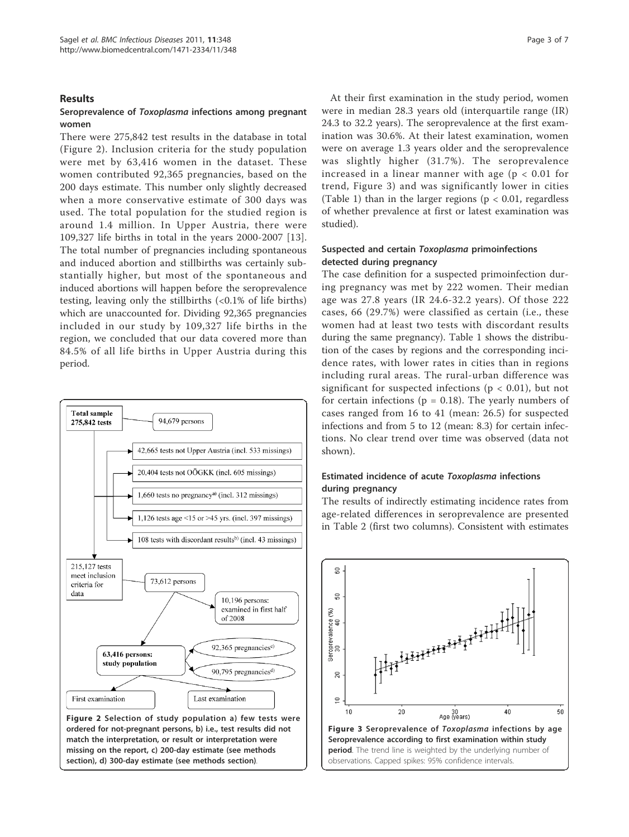#### Results

## Seroprevalence of Toxoplasma infections among pregnant women

There were 275,842 test results in the database in total (Figure 2). Inclusion criteria for the study population were met by 63,416 women in the dataset. These women contributed 92,365 pregnancies, based on the 200 days estimate. This number only slightly decreased when a more conservative estimate of 300 days was used. The total population for the studied region is around 1.4 million. In Upper Austria, there were 109,327 life births in total in the years 2000-2007 [13]. The total number of pregnancies including spontaneous and induced abortion and stillbirths was certainly substantially higher, but most of the spontaneous and induced abortions will happen before the seroprevalence testing, leaving only the stillbirths (<0.1% of life births) which are unaccounted for. Dividing 92,365 pregnancies included in our study by 109,327 life births in the region, we concluded that our data covered more than 84.5% of all life births in Upper Austria during this period.



At their first examination in the study period, women were in median 28.3 years old (interquartile range (IR) 24.3 to 32.2 years). The seroprevalence at the first examination was 30.6%. At their latest examination, women were on average 1.3 years older and the seroprevalence was slightly higher (31.7%). The seroprevalence increased in a linear manner with age ( $p < 0.01$  for trend, Figure 3) and was significantly lower in cities (Table 1) than in the larger regions ( $p < 0.01$ , regardless of whether prevalence at first or latest examination was studied).

#### Suspected and certain Toxoplasma primoinfections detected during pregnancy

The case definition for a suspected primoinfection during pregnancy was met by 222 women. Their median age was 27.8 years (IR 24.6-32.2 years). Of those 222 cases, 66 (29.7%) were classified as certain (i.e., these women had at least two tests with discordant results during the same pregnancy). Table 1 shows the distribution of the cases by regions and the corresponding incidence rates, with lower rates in cities than in regions including rural areas. The rural-urban difference was significant for suspected infections ( $p < 0.01$ ), but not for certain infections ( $p = 0.18$ ). The yearly numbers of cases ranged from 16 to 41 (mean: 26.5) for suspected infections and from 5 to 12 (mean: 8.3) for certain infections. No clear trend over time was observed (data not shown).

## Estimated incidence of acute Toxoplasma infections during pregnancy

The results of indirectly estimating incidence rates from age-related differences in seroprevalence are presented in Table 2 (first two columns). Consistent with estimates

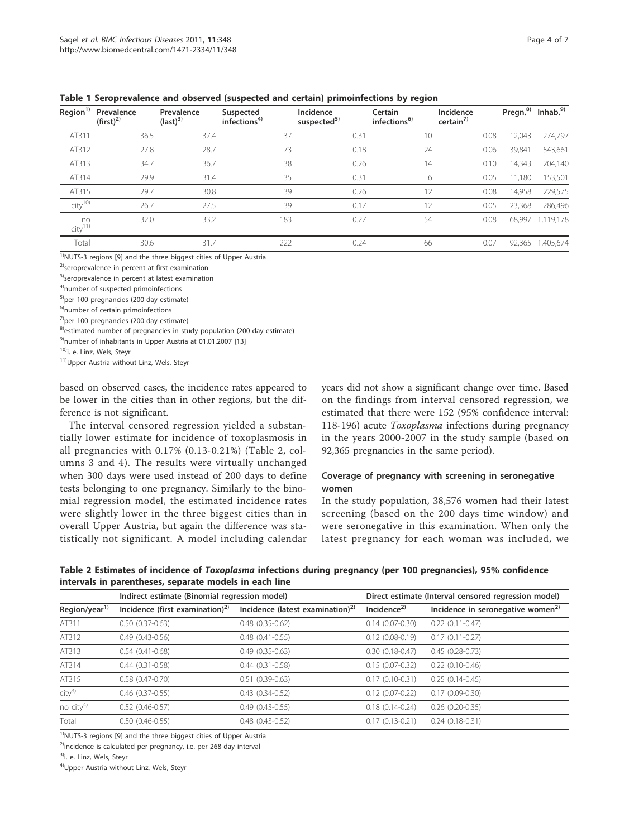| Region <sup>1)</sup>          | Prevalence<br>$(first)^{2)}$ | Prevalence<br>(last) <sup>3</sup> | Suspected<br>infections <sup>4)</sup> | Incidence<br>suspected <sup>5)</sup> | Certain<br>infections <sup>6)</sup> | Incidence<br>certain <sup>7</sup> |        | Pregn. <sup>8)</sup> Inhab. <sup>9)</sup> |
|-------------------------------|------------------------------|-----------------------------------|---------------------------------------|--------------------------------------|-------------------------------------|-----------------------------------|--------|-------------------------------------------|
| AT311                         | 36.5                         | 37.4                              | 37                                    | 0.31                                 | 10                                  | 0.08                              | 12,043 | 274,797                                   |
| AT312                         | 27.8                         | 28.7                              | 73                                    | 0.18                                 | 24                                  | 0.06                              | 39,841 | 543,661                                   |
| AT313                         | 34.7                         | 36.7                              | 38                                    | 0.26                                 | 14                                  | 0.10                              | 14,343 | 204,140                                   |
| AT314                         | 29.9                         | 31.4                              | 35                                    | 0.31                                 | 6                                   | 0.05                              | 11.180 | 153,501                                   |
| AT315                         | 29.7                         | 30.8                              | 39                                    | 0.26                                 | 12                                  | 0.08                              | 14,958 | 229,575                                   |
| $\overline{\text{city}}^{10}$ | 26.7                         | 27.5                              | 39                                    | 0.17                                 | 12                                  | 0.05                              | 23,368 | 286,496                                   |
| no<br>city <sup>11</sup>      | 32.0                         | 33.2                              | 183                                   | 0.27                                 | 54                                  | 0.08                              | 68.997 | ,119,178                                  |
| Total                         | 30.6                         | 31.7                              | 222                                   | 0.24                                 | 66                                  | 0.07                              | 92,365 | 1,405,674                                 |

Table 1 Seroprevalence and observed (suspected and certain) primoinfections by region

<sup>1)</sup>NUTS-3 regions [9] and the three biggest cities of Upper Austria

<sup>2)</sup>seroprevalence in percent at first examination

<sup>3)</sup>seroprevalence in percent at latest examination

4)number of suspected primoinfections

<sup>5)</sup>per 100 pregnancies (200-day estimate)

<sup>6)</sup>number of certain primoinfections

 $<sup>7</sup>$ per 100 pregnancies (200-day estimate)</sup>

<sup>8)</sup>estimated number of pregnancies in study population (200-day estimate)

9)<sub>number of inhabitants in Upper Austria at 01.01.2007</sub> [13]

10)<sub>i.</sub> e. Linz, Wels, Steyr

11)Upper Austria without Linz, Wels, Steyr

based on observed cases, the incidence rates appeared to be lower in the cities than in other regions, but the difference is not significant.

The interval censored regression yielded a substantially lower estimate for incidence of toxoplasmosis in all pregnancies with 0.17% (0.13-0.21%) (Table 2, columns 3 and 4). The results were virtually unchanged when 300 days were used instead of 200 days to define tests belonging to one pregnancy. Similarly to the binomial regression model, the estimated incidence rates were slightly lower in the three biggest cities than in overall Upper Austria, but again the difference was statistically not significant. A model including calendar years did not show a significant change over time. Based on the findings from interval censored regression, we estimated that there were 152 (95% confidence interval: 118-196) acute Toxoplasma infections during pregnancy in the years 2000-2007 in the study sample (based on 92,365 pregnancies in the same period).

## Coverage of pregnancy with screening in seronegative women

In the study population, 38,576 women had their latest screening (based on the 200 days time window) and were seronegative in this examination. When only the latest pregnancy for each woman was included, we

Table 2 Estimates of incidence of Toxoplasma infections during pregnancy (per 100 pregnancies), 95% confidence intervals in parentheses, separate models in each line

|                           | Indirect estimate (Binomial regression model) |                                        | Direct estimate (Interval censored regression model) |                                               |  |
|---------------------------|-----------------------------------------------|----------------------------------------|------------------------------------------------------|-----------------------------------------------|--|
| Region/year <sup>1)</sup> | Incidence (first examination) $^{2)}$         | Incidence (latest examination) $^{2)}$ | Incidence $^{2)}$                                    | Incidence in seronegative women <sup>2)</sup> |  |
| AT311                     | $0.50(0.37-0.63)$                             | $0.48$ $(0.35 - 0.62)$                 | $0.14(0.07-0.30)$                                    | $0.22$ $(0.11 - 0.47)$                        |  |
| AT312                     | $0.49(0.43-0.56)$                             | $0.48$ $(0.41 - 0.55)$                 | $0.12(0.08-0.19)$                                    | $0.17(0.11-0.27)$                             |  |
| AT313                     | $0.54(0.41 - 0.68)$                           | $0.49(0.35 - 0.63)$                    | $0.30(0.18 - 0.47)$                                  | $0.45(0.28-0.73)$                             |  |
| AT314                     | $0.44(0.31-0.58)$                             | $0.44$ $(0.31 - 0.58)$                 | $0.15(0.07 - 0.32)$                                  | $0.22(0.10-0.46)$                             |  |
| AT315                     | $0.58(0.47-0.70)$                             | $0.51(0.39 - 0.63)$                    | $0.17(0.10-0.31)$                                    | $0.25(0.14-0.45)$                             |  |
| city <sup>3</sup>         | $0.46$ $(0.37 - 0.55)$                        | $0.43(0.34 - 0.52)$                    | $0.12$ $(0.07 - 0.22)$                               | $0.17(0.09 - 0.30)$                           |  |
| no city $4$               | $0.52$ $(0.46 - 0.57)$                        | $0.49$ $(0.43 - 0.55)$                 | $0.18(0.14-0.24)$                                    | $0.26$ $(0.20 - 0.35)$                        |  |
| Total                     | $0.50(0.46 - 0.55)$                           | $0.48$ $(0.43 - 0.52)$                 | $0.17(0.13-0.21)$                                    | $0.24(0.18-0.31)$                             |  |
|                           |                                               |                                        |                                                      |                                               |  |

 $1)$ NUTS-3 regions [9] and the three biggest cities of Upper Austria

<sup>2)</sup>incidence is calculated per pregnancy, i.e. per 268-day interval

<sup>3)</sup>i. e. Linz, Wels, Steyr

4)Upper Austria without Linz, Wels, Steyr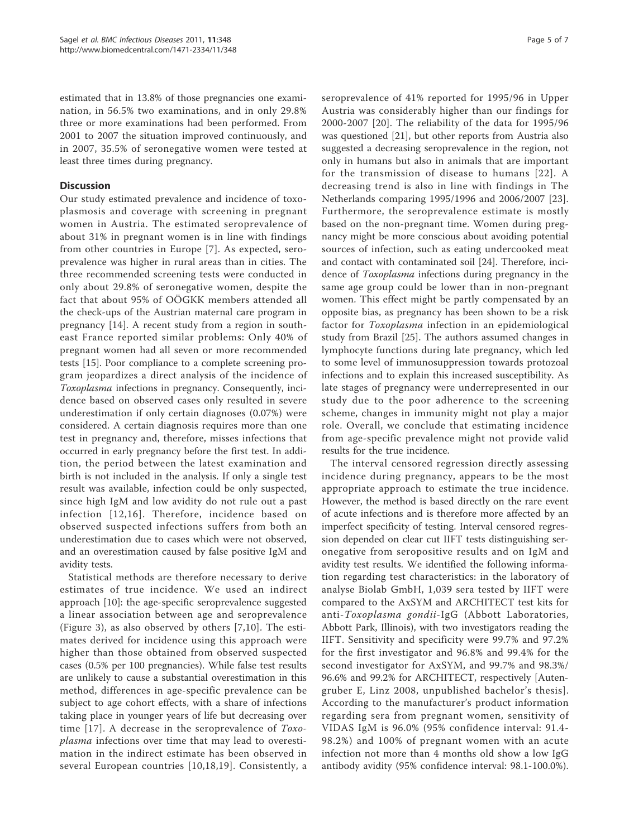estimated that in 13.8% of those pregnancies one examination, in 56.5% two examinations, and in only 29.8% three or more examinations had been performed. From 2001 to 2007 the situation improved continuously, and in 2007, 35.5% of seronegative women were tested at least three times during pregnancy.

## **Discussion**

Our study estimated prevalence and incidence of toxoplasmosis and coverage with screening in pregnant women in Austria. The estimated seroprevalence of about 31% in pregnant women is in line with findings from other countries in Europe [7]. As expected, seroprevalence was higher in rural areas than in cities. The three recommended screening tests were conducted in only about 29.8% of seronegative women, despite the fact that about 95% of OÖGKK members attended all the check-ups of the Austrian maternal care program in pregnancy [14]. A recent study from a region in southeast France reported similar problems: Only 40% of pregnant women had all seven or more recommended tests [15]. Poor compliance to a complete screening program jeopardizes a direct analysis of the incidence of Toxoplasma infections in pregnancy. Consequently, incidence based on observed cases only resulted in severe underestimation if only certain diagnoses (0.07%) were considered. A certain diagnosis requires more than one test in pregnancy and, therefore, misses infections that occurred in early pregnancy before the first test. In addition, the period between the latest examination and birth is not included in the analysis. If only a single test result was available, infection could be only suspected, since high IgM and low avidity do not rule out a past infection [12,16]. Therefore, incidence based on observed suspected infections suffers from both an underestimation due to cases which were not observed, and an overestimation caused by false positive IgM and avidity tests.

Statistical methods are therefore necessary to derive estimates of true incidence. We used an indirect approach [10]: the age-specific seroprevalence suggested a linear association between age and seroprevalence (Figure 3), as also observed by others [7,10]. The estimates derived for incidence using this approach were higher than those obtained from observed suspected cases (0.5% per 100 pregnancies). While false test results are unlikely to cause a substantial overestimation in this method, differences in age-specific prevalence can be subject to age cohort effects, with a share of infections taking place in younger years of life but decreasing over time  $[17]$ . A decrease in the seroprevalence of  $Toxo$ plasma infections over time that may lead to overestimation in the indirect estimate has been observed in several European countries [10,18,19]. Consistently, a seroprevalence of 41% reported for 1995/96 in Upper Austria was considerably higher than our findings for 2000-2007 [20]. The reliability of the data for 1995/96 was questioned [21], but other reports from Austria also suggested a decreasing seroprevalence in the region, not only in humans but also in animals that are important for the transmission of disease to humans [22]. A decreasing trend is also in line with findings in The Netherlands comparing 1995/1996 and 2006/2007 [23]. Furthermore, the seroprevalence estimate is mostly based on the non-pregnant time. Women during pregnancy might be more conscious about avoiding potential sources of infection, such as eating undercooked meat and contact with contaminated soil [24]. Therefore, incidence of Toxoplasma infections during pregnancy in the same age group could be lower than in non-pregnant women. This effect might be partly compensated by an opposite bias, as pregnancy has been shown to be a risk factor for Toxoplasma infection in an epidemiological study from Brazil [25]. The authors assumed changes in lymphocyte functions during late pregnancy, which led to some level of immunosuppression towards protozoal infections and to explain this increased susceptibility. As late stages of pregnancy were underrepresented in our study due to the poor adherence to the screening scheme, changes in immunity might not play a major role. Overall, we conclude that estimating incidence from age-specific prevalence might not provide valid results for the true incidence.

The interval censored regression directly assessing incidence during pregnancy, appears to be the most appropriate approach to estimate the true incidence. However, the method is based directly on the rare event of acute infections and is therefore more affected by an imperfect specificity of testing. Interval censored regression depended on clear cut IIFT tests distinguishing seronegative from seropositive results and on IgM and avidity test results. We identified the following information regarding test characteristics: in the laboratory of analyse Biolab GmbH, 1,039 sera tested by IIFT were compared to the AxSYM and ARCHITECT test kits for anti-Toxoplasma gondii-IgG (Abbott Laboratories, Abbott Park, Illinois), with two investigators reading the IIFT. Sensitivity and specificity were 99.7% and 97.2% for the first investigator and 96.8% and 99.4% for the second investigator for AxSYM, and 99.7% and 98.3%/ 96.6% and 99.2% for ARCHITECT, respectively [Autengruber E, Linz 2008, unpublished bachelor's thesis]. According to the manufacturer's product information regarding sera from pregnant women, sensitivity of VIDAS IgM is 96.0% (95% confidence interval: 91.4- 98.2%) and 100% of pregnant women with an acute infection not more than 4 months old show a low IgG antibody avidity (95% confidence interval: 98.1-100.0%).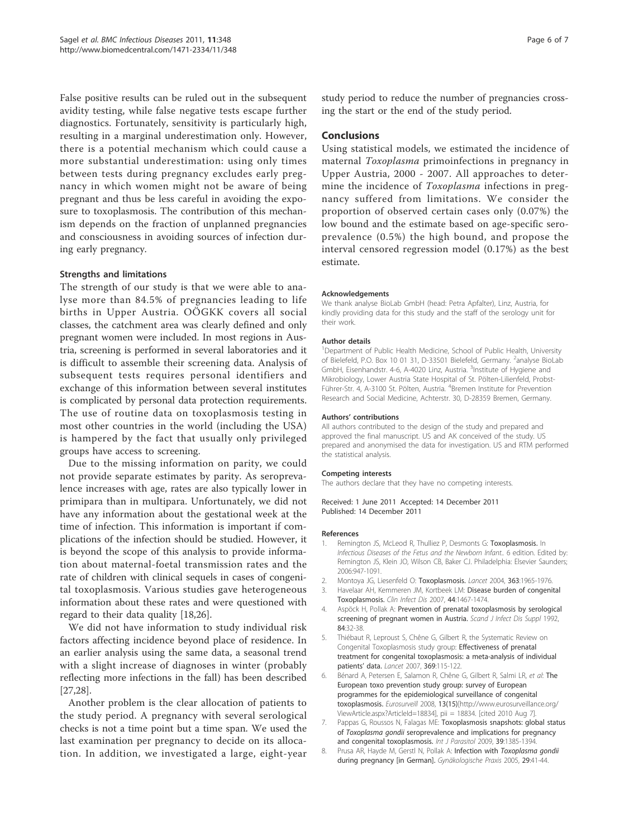False positive results can be ruled out in the subsequent avidity testing, while false negative tests escape further diagnostics. Fortunately, sensitivity is particularly high, resulting in a marginal underestimation only. However, there is a potential mechanism which could cause a more substantial underestimation: using only times between tests during pregnancy excludes early pregnancy in which women might not be aware of being pregnant and thus be less careful in avoiding the exposure to toxoplasmosis. The contribution of this mechanism depends on the fraction of unplanned pregnancies and consciousness in avoiding sources of infection during early pregnancy.

#### Strengths and limitations

The strength of our study is that we were able to analyse more than 84.5% of pregnancies leading to life births in Upper Austria. OÖGKK covers all social classes, the catchment area was clearly defined and only pregnant women were included. In most regions in Austria, screening is performed in several laboratories and it is difficult to assemble their screening data. Analysis of subsequent tests requires personal identifiers and exchange of this information between several institutes is complicated by personal data protection requirements. The use of routine data on toxoplasmosis testing in most other countries in the world (including the USA) is hampered by the fact that usually only privileged groups have access to screening.

Due to the missing information on parity, we could not provide separate estimates by parity. As seroprevalence increases with age, rates are also typically lower in primipara than in multipara. Unfortunately, we did not have any information about the gestational week at the time of infection. This information is important if complications of the infection should be studied. However, it is beyond the scope of this analysis to provide information about maternal-foetal transmission rates and the rate of children with clinical sequels in cases of congenital toxoplasmosis. Various studies gave heterogeneous information about these rates and were questioned with regard to their data quality [18,26].

We did not have information to study individual risk factors affecting incidence beyond place of residence. In an earlier analysis using the same data, a seasonal trend with a slight increase of diagnoses in winter (probably reflecting more infections in the fall) has been described [27,28].

Another problem is the clear allocation of patients to the study period. A pregnancy with several serological checks is not a time point but a time span. We used the last examination per pregnancy to decide on its allocation. In addition, we investigated a large, eight-year

study period to reduce the number of pregnancies crossing the start or the end of the study period.

## Conclusions

Using statistical models, we estimated the incidence of maternal Toxoplasma primoinfections in pregnancy in Upper Austria, 2000 - 2007. All approaches to determine the incidence of *Toxoplasma* infections in pregnancy suffered from limitations. We consider the proportion of observed certain cases only (0.07%) the low bound and the estimate based on age-specific seroprevalence (0.5%) the high bound, and propose the interval censored regression model (0.17%) as the best estimate.

#### Acknowledgements

We thank analyse BioLab GmbH (head: Petra Apfalter), Linz, Austria, for kindly providing data for this study and the staff of the serology unit for their work.

#### Author details

<sup>1</sup>Department of Public Health Medicine, School of Public Health, University of Bielefeld, P.O. Box 10 01 31, D-33501 Bielefeld, Germany. <sup>2</sup>analyse BioLab GmbH, Eisenhandstr. 4-6, A-4020 Linz, Austria. <sup>3</sup>Institute of Hygiene and Mikrobiology, Lower Austria State Hospital of St. Pölten-Lilienfeld, Probst-Führer-Str. 4, A-3100 St. Pölten, Austria. <sup>4</sup>Bremen Institute for Prevention Research and Social Medicine, Achterstr. 30, D-28359 Bremen, Germany.

#### Authors' contributions

All authors contributed to the design of the study and prepared and approved the final manuscript. US and AK conceived of the study. US prepared and anonymised the data for investigation. US and RTM performed the statistical analysis.

#### Competing interests

The authors declare that they have no competing interests.

#### Received: 1 June 2011 Accepted: 14 December 2011 Published: 14 December 2011

#### References

- 1. Remington JS, McLeod R, Thulliez P, Desmonts G: Toxoplasmosis. In Infectious Diseases of the Fetus and the Newborn Infant.. 6 edition. Edited by: Remington JS, Klein JO, Wilson CB, Baker CJ. Philadelphia: Elsevier Saunders; 2006:947-1091.
- 2. Montoya JG, Liesenfeld O: Toxoplasmosis. Lancet 2004, 363:1965-1976.
- 3. Havelaar AH, Kemmeren JM, Kortbeek LM: Disease burden of congenital Toxoplasmosis. Clin Infect Dis 2007, 44:1467-1474.
- 4. Aspöck H, Pollak A: Prevention of prenatal toxoplasmosis by serological screening of pregnant women in Austria. Scand J Infect Dis Suppl 1992, 84:32-38.
- 5. Thiébaut R, Leproust S, Chêne G, Gilbert R, the Systematic Review on Congenital Toxoplasmosis study group: Effectiveness of prenatal treatment for congenital toxoplasmosis: a meta-analysis of individual patients' data. Lancet 2007, 369:115-122.
- 6. Bénard A, Petersen E, Salamon R, Chêne G, Gilbert R, Salmi LR, et al: The European toxo prevention study group: survey of European programmes for the epidemiological surveillance of congenital toxoplasmosis. Eurosurveill 2008, 13(15)[http://www.eurosurveillance.org/ ViewArticle.aspx?ArticleId=18834], pii = 18834. [cited 2010 Aug 7].
- 7. Pappas G, Roussos N, Falagas ME: Toxoplasmosis snapshots: global status of Toxoplasma gondii seroprevalence and implications for pregnancy and congenital toxoplasmosis. Int J Parasitol 2009, 39:1385-1394
- 8. Prusa AR, Hayde M, Gerstl N, Pollak A: Infection with Toxoplasma gondii during pregnancy [in German]. Gynäkologische Praxis 2005, 29:41-44.